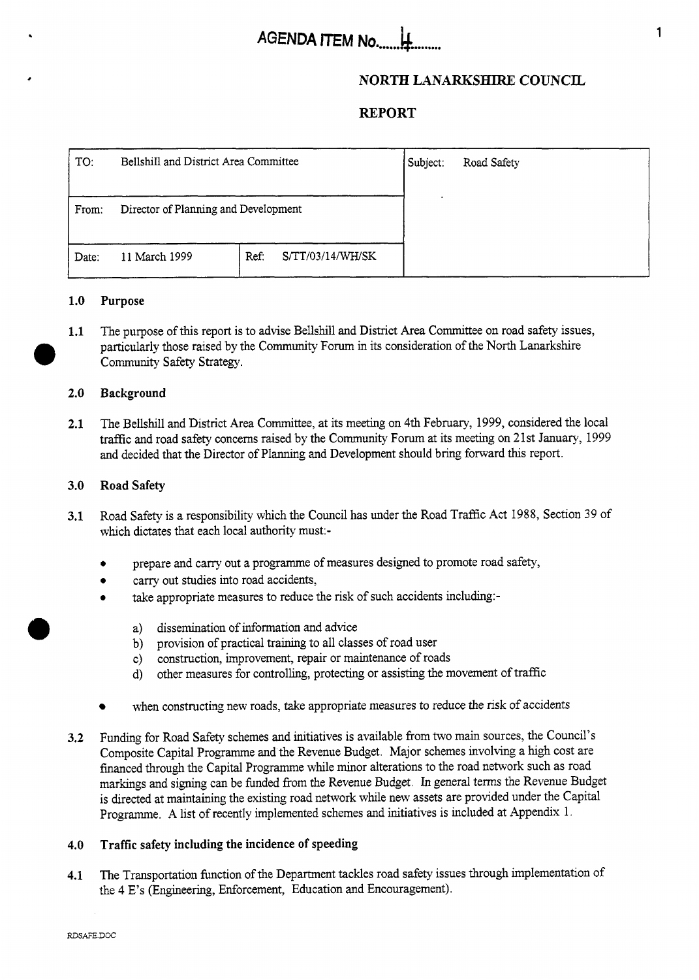# **AGENDA ITEM No.....**

## **NORTH LANARKSHIRE COUNCIL**

## **REPORT**

| TO:   | Bellshill and District Area Committee |                          | Subject: | Road Safety |
|-------|---------------------------------------|--------------------------|----------|-------------|
|       |                                       |                          |          |             |
| From: | Director of Planning and Development  |                          |          |             |
| Date: | 11 March 1999                         | S/TT/03/14/WH/SK<br>Ref: |          |             |

#### **1 .o Purpose**

**1.1**  *0*  The purpose of this report is to advise Bellshill and District Area Committee on road safety issues, particularly those raised by the Community Forum in its consideration of the North Lanarkshire Community Safety Strategy.

#### **2.0 Background**

**2.1**  The Bellshill and District Area Committee, at its meeting on 4th February, 1999, considered the local traffic and road safety concerns raised by the Community Forum at its meeting on 21st January, 1999 and decided that the Director of Planning and Development should bring forward this report.

#### **3.0 Road Safety**

- **3.1**  Road Safety is a responsibility which the Council has under the Road Traffic Act 1988, Section 39 of which dictates that each local authority must:-
	- *0*  prepare and carry out a programme of measures designed to promote road safety,
	- *0*  carry out studies into road accidents,
	- *0*  take appropriate measures to reduce the risk of such accidents including:
		- a) dissemination of information and advice
		- b) provision of practical training to all classes of road user
		- c) construction, improvement, repair or maintenance of roads
		- d) other measures for controlling, protecting or assisting the movement of traffic
	- when constructing new roads, take appropriate measures to reduce the **risk** of accidents
- **3.2**  Fundmg for Road Safety schemes and initiatives is available from two main sources, the Council's Composite Capital Programme and the Revenue Budget. Major schemes involving a high cost are financed through the Capital Programme while minor alterations to the road network such as road markings and signing can be funded from the Revenue Budget. In general terms the Revenue Budget is directed at maintaining the existing road network while new assets are provided under the Capital Programme. **A** list of recently implemented schemes and initiatives is included at Appendix 1.

#### **4.0 Traffic safety including the incidence of speeding**

**4.1**  The Transportation function of the Department tackles road safety issues through implementation of the 4 E's (Engineering, Enforcement, Education and Encouragement).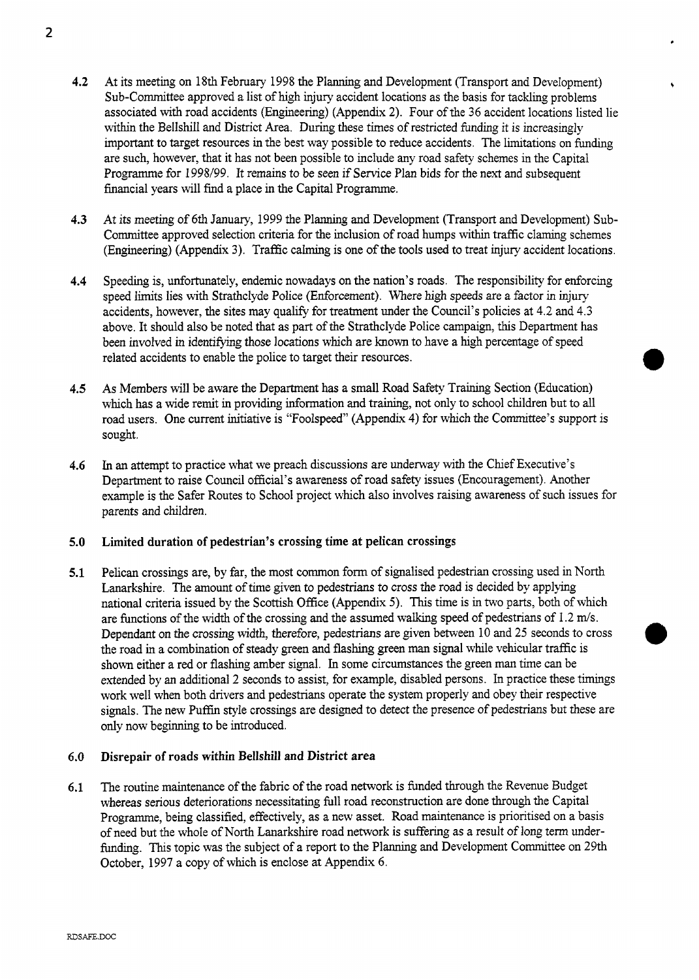- **4.2** At its meeting on 18th February 1998 the Planning and Development (Transport and Development) Sub-Committee approved a list of high injury accident locations as the basis for tackling problems associated with road accidents (Engineering) (Appendix **2).** Four of the 36 accident locations listed lie within the Bellshill and District Area. During these times of restricted funding it is increasingly important to target resources in the best way possible to reduce accidents. The limitations on funding are such, however, that it has not been possible to include any road safety schemes in the Capital Programme for 1998/99. It remains to be seen if Service Plan bids for the next and subsequent financial years will find a place in the Capital Programme.
- **4.3** At its meeting of 6th January, 1999 the Planning and Development (Transport and Development) Sub-Committee approved selection criteria for the inclusion of road humps within traffic claming schemes (Engineering) (Appendix 3). Traffic calming is one of the tools used to treat injury accident locations.
- **4.4** Speeding is, unfortunately, endemic nowadays on the nation's roads. The responsibility for enforcing speed limits lies with Strathclyde Police (Enforcement). Where high speeds are a factor in injury accidents, however, the sites may qualify for treatment under the Council's policies at 4.2 and 4.3 above. It should also be noted that as part of the Strathclyde Police campaign, this Department has been involved in identifying those locations which are known to have a high percentage of speed related accidents to enable the police to target their resources.
- **4.5** As Members will be aware the Department has a small Road Safety Training Section (Education) which has a wide remit in providing information and training, not only to school children but to all road users. One current initiative is "Foolspeed" (Appendix **4)** for which the Committee's support is sought.
- **4.6** In an attempt to practice what we preach discussions are underway with the Chief Executive's Department to raise Council official's awareness of road safety issues (Encouragement). Another example is the Safer Routes to School project which also involves raising awareness of such issues for parents and children.
- **5.0** Limited duration **of** pedestrian's crossing time at pelican crossings
- **5.1** Pelican crossings are, by far, the most common form of signalised pedestrian crossing used in North Lanarkshire. The amount of time given to pedestrians to cross the road is decided by applying national criteria issued by the Scottish Office (Appendix *5).* This time is in two parts, both of which are functions of the width of the crossing and the assumed walking speed of pedestrians of 1.2 m/s. Dependant on the crossing width, therefore, pedestrians are given between 10 and **25** seconds to cross the road in a combination of steady green and flashing green man signal while vehicular traffic is shown either a red or flashing amber sipal. In some circumstances the green man time can be extended by an additional **2** seconds to assist, for example, disabled persons. In practice these timings work well when both drivers and pedestrians operate the system properly and obey their respective signals. The new Puffin style crossings are designed to detect the presence of pedestrians but these are only now beginning to be introduced.

#### *6.0* Disrepair **of** roads within Bellshill and District area

**6.1** The routine maintenance of the fabric of the road network is funded through the Revenue Budget whereas serious deteriorations necessitating full road reconstruction are done through the Capital Programme, being classified, effectively, as a new asset. Road maintenance is prioritised on a basis of need but the whole of North Lanarkshire road network is suffering as a result of long term underfunding. This topic was the subject of a report to the Planning and Development Committee on 29th October, 1997 a copy of which is enclose at Appendix 6.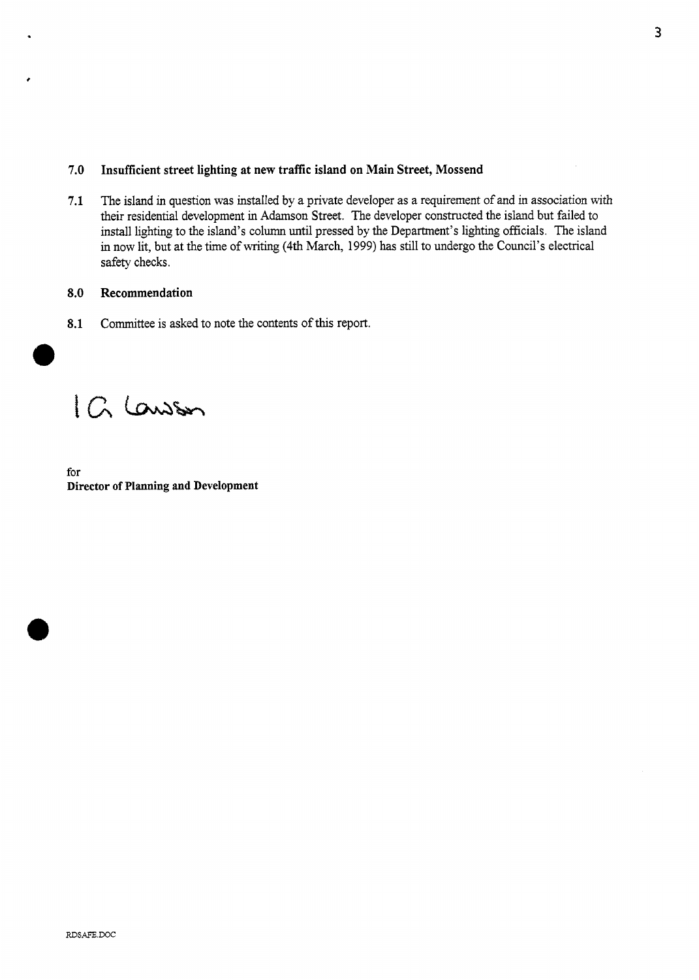#### **7.0 Insufficient street lighting at new traffic island on Main Street, Mossend**

**7.1** The island in question was installed by a private developer as a requirement of and in association with their residential development in Adamson Street. The developer constructed the island but failed to install lighting to the island's column until pressed by the Department's lighting officials. The island in now lit, but at the time of writing **(4th** March, 1999) has still to undergo the Council's electrical safety checks.

#### **8.0 Recommendation**

**8.1** Committee is asked to note the contents of this report.

IG Lawson

for **Director of Planning and Development**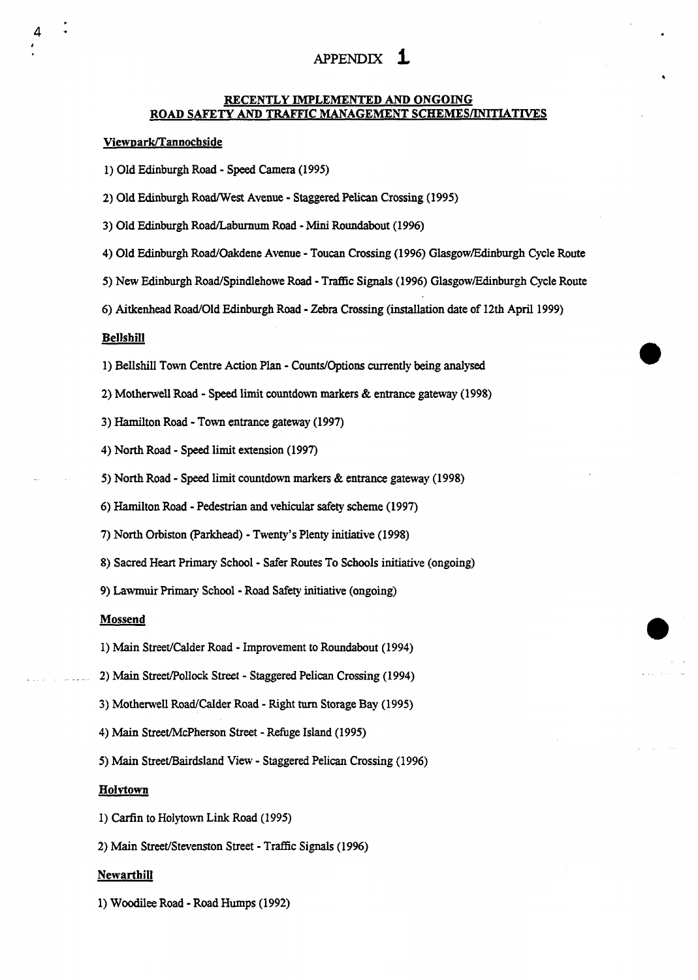## APPENDIX **i**

#### **RECENTLY IMPLEMENTED** *AND* **ONGOING ROAD SAFETY AND TRAFFIC MANAGEMENT SCHEMES/INITIATIVES**

#### **ViewDarWTannochside**

- **1)** Old Edinburgh Road **Speed** Camera **(1 995)**
- 2) Old Edinburgh RoadfWest Avenue Staggered Pelican Crossing **(1995)**
- 3) Old Edinburgh Road/Labumum Road Mini Roundabout **(1996)**
- **4)** Old Edinburgh RoadOakdene Avenue Toucan Crossing ( **1996)** Glasgow/Edinburgh Cycle Route
- 5) New Edinburgh Road/Spindlehowe Road Traffic Signals (1996) Glasgow/Edinburgh Cycle Route
- **6)** Aitkenhead RoadOld Edinburgh Road Zebra Crossing (installation date of **12th** April **1999)**

#### **Bellshill**

4

- **1)** Bellshill Town Centre **Action** Plan Counts/Options currently being analysed
- **2)** Motherwell Road **Speed** limit countdown **markers** & entrance gateway **(1998)**
- 3) Hamilton Road Town entrance gateway **(1997)**
- **4)** North Road **Speed** limit extension **(1997)**
- **5)** North Road **Speed** limit countdown markers & **entrance** gateway **(1998)**
- **6)** Hamilton Road Pedestrian and vehicular safety scheme **(1997)**
- **7)** North Orbiston (Parkhead) Twenty's Plenty initiative **(1998)**
- **8)** Sacred **Heart** Primary School Safer Routes To **Schools** initiative (ongoing)
- **9)** Lawmuir Primary School Road Safety initiative (ongoing)

#### **Mossend**

- 1) Main Street/Calder Road Improvement to Roundabout (1994)
- **2) Main** StreetPollock Street Staggered Pelican Crossing **(1 994)**
- 3) Motherwell Road/Calder Road Right turn Storage Bay (1995)
- **4)** Main Street/McPherson Street Refuge Island **(1995)**
- **5) Main** Street/Bairdsland View Staggered Pelican Crossing **(1 996)**

#### **Holvtown**

- 1) **Carfin to Holytown Link Road (1995)**
- 2) Main Street/Stevenston Street Traffic Signals (1996)

#### **Newarthill**

**1)** Woodilee Road - Road Humps **(1992)**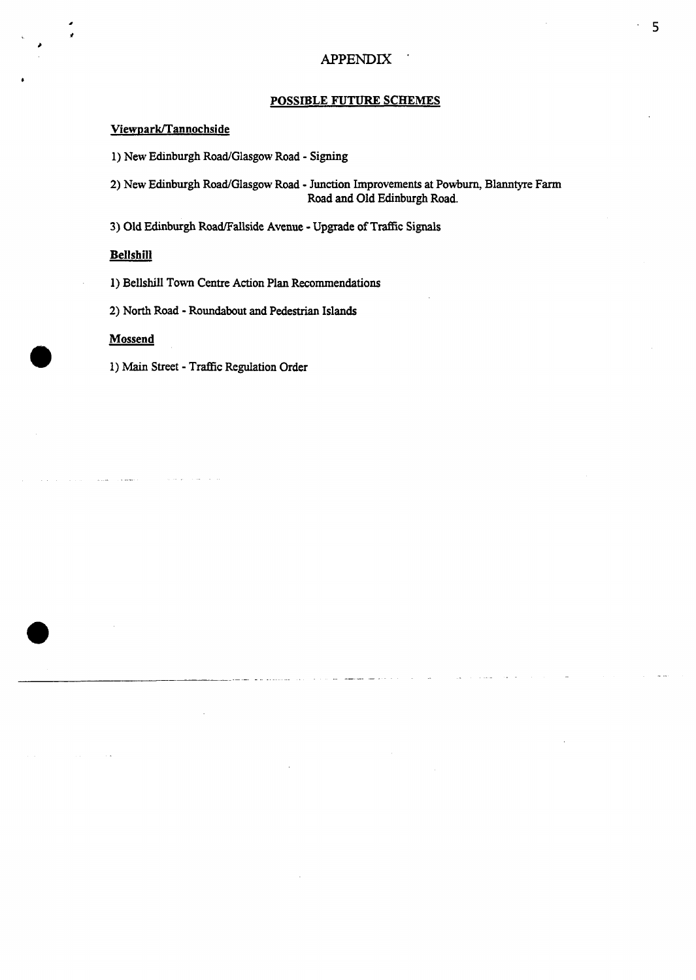#### **POSSIBLE** FUTURE **SCHEMES**

#### **ViewDarWTannochside**

1) New Edinburgh Road/Glasgow Road - Signing

**2)** New Edinburgh RoadGlasgow Road - **Junction** Improvements at Powburn, Blanntyre **Farm**  Road and Old Edinburgh Road.

3) Old Edinburgh Road/Fallside Avenue - Upgrade of Traffic Signals

#### **Bellshill**

**1)** Bellshill Town Centre Action Plan Recommendations

**2)** North Road - Roundabout and Pedestrian Islands

#### **Mossend**

1) Main Street - Traffic Regulation Order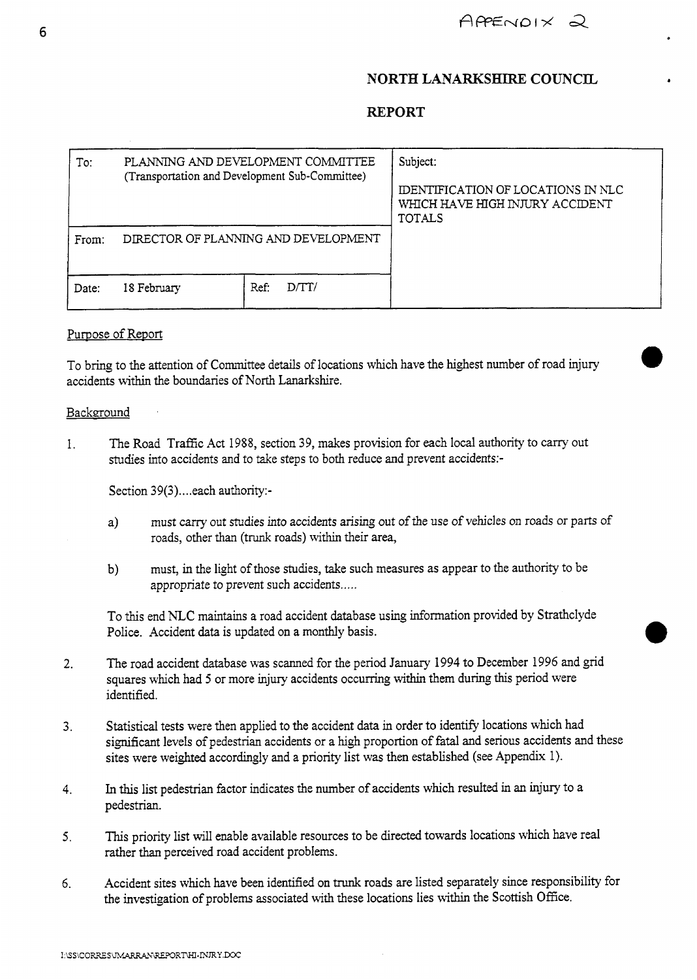## **NORTH LANARKSHIRE COUNCIL**

## **REPORT**

| To:   | PLANNING AND DEVELOPMENT COMMITTEE<br>(Transportation and Development Sub-Committee) |              | Subject:<br>IDENTIFICATION OF LOCATIONS IN NLC<br>WHICH HAVE HIGH INJURY ACCIDENT<br><b>TOTALS</b> |
|-------|--------------------------------------------------------------------------------------|--------------|----------------------------------------------------------------------------------------------------|
| From: | DIRECTOR OF PLANNING AND DEVELOPMENT                                                 |              |                                                                                                    |
| Date: | 18 February                                                                          | Ref:<br>DTT/ |                                                                                                    |

#### Purpose of Report

To bring to the attention of Committee details of locations which have the highest number of road injury accidents within the boundaries of North Lanarkshire.

#### Background

1. The Road Traffic Act 1988, section 39, makes provision for each local authority to carry out studies into accidents and to take steps to both reduce and prevent accidents:-

Section 39(3).... each authority:-

- a) must carry out studies into accidents arising out of the use of vehicles on roads or parts of roads, other than (trunk roads) within their area,
- b) must, in the light of those studies, take such measures as appear to the authority to be appropriate to prevent such accidents.....

To this end NLC maintains **a** road accident database using information provided by Strathclyde Police. Accident data is updated on a monthly basis.

- 2. The road accident database was scanned for the period January 1994 to December 1996 and grid squares which had *5* or more injury accidents occurring within them during this period were identified.
- 3. Statistical tests were then applied to the accident data in order to identify locations which had significant levels of pedestrian accidents or a high proportion of fatal and serious accidents and these sites were weighted accordingly and a priority list was then established (see Appendix 1).
- **4.** In this list pedestrian factor indicates the number of accidents which resulted in an injury to a pedestrian.
- *5.* This priority list will enable available resources to be directed towards locations which have real rather than perceived road accident problems.
- **6.** Accident sites which have been identified on trunk roads are listed separately since responsibility for the investigation of problems associated with these locations lies within the Scottish Office.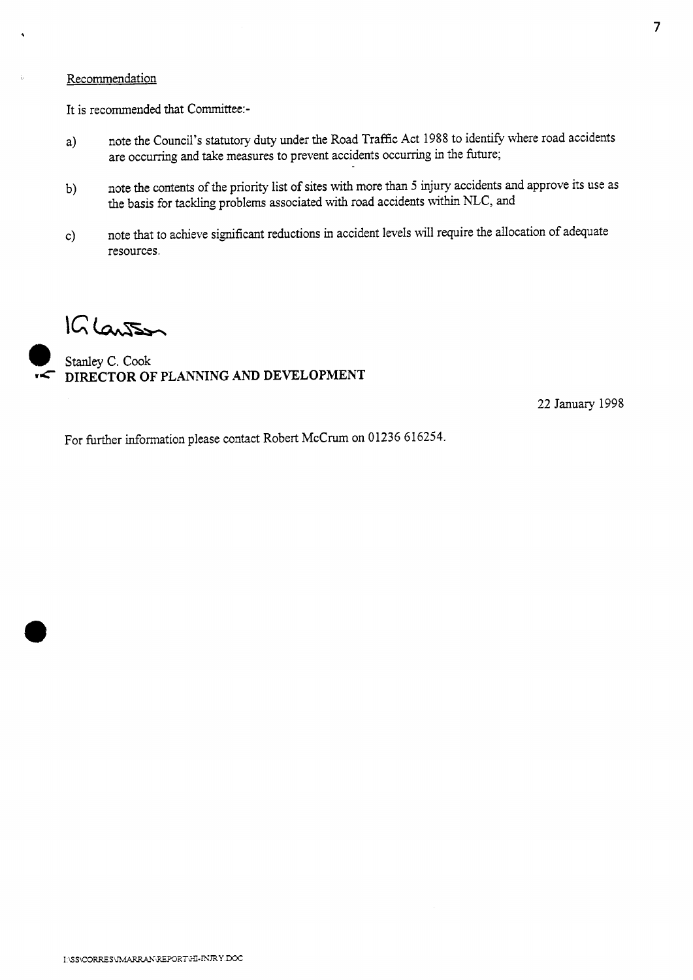#### Recommendation

It is recommended that Committee:-

- a) note the Council's statutory duty under the Road Traffic Act 1988 to identify where road accidents are occurring and take measures to prevent accidents occurring in the future;
- b) note the contents of the **priority** list of sites with more than *5* **injury** accidents and approve its use as the basis for tackling problems associated with road accidents within NLC, and
- c) note that to achieve significant reductions in accident levels will require the allocation of adequate resources.

 $1G$   $lanS<sub>2</sub>$ 

**Stanley C. Cook re DIRECTOR OF PLANNING AND DEVELOPMENT** 

22 January 1998

For further information please contact Robert McCrum on 01236 616254.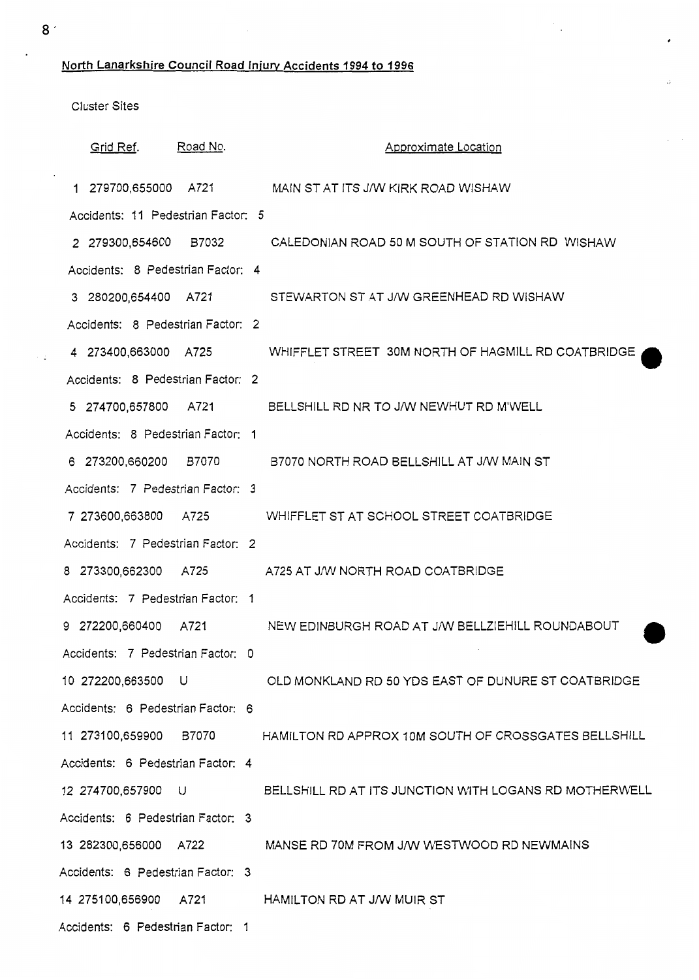**North Lanarkshire Council Road fniurv Accidents 1994 to 1996** 

Cluster Sites

| Grid Ref.                          | Road No. | Approximate Location                                                        |  |
|------------------------------------|----------|-----------------------------------------------------------------------------|--|
|                                    |          | 1 279700,655000 A721 MAIN ST AT ITS J/W KIRK ROAD WISHAW                    |  |
| Accidents: 11 Pedestrian Factor: 5 |          |                                                                             |  |
|                                    |          | 2 279300,654600 B7032 CALEDONIAN ROAD 50 M SOUTH OF STATION RD WISHAW       |  |
| Accidents: 8 Pedestrian Factor: 4  |          |                                                                             |  |
|                                    |          | 3 280200,654400 A721 STEWARTON ST AT J/W GREENHEAD RD WISHAW                |  |
| Accidents: 8 Pedestrian Factor: 2  |          |                                                                             |  |
|                                    |          | 4 273400,663000 A725 WHIFFLET STREET 30M NORTH OF HAGMILL RD COATBRIDGE     |  |
| Accidents: 8 Pedestrian Factor: 2  |          |                                                                             |  |
|                                    |          | 5 274700,657800 A721 BELLSHILL RD NR TO J/W NEWHUT RD M'WELL                |  |
| Accidents: 8 Pedestrian Factor: 1  |          |                                                                             |  |
|                                    |          | 6 273200,660200 B7070 B7070 NORTH ROAD BELLSHILL AT J/W MAIN ST             |  |
| Accidents: 7 Pedestrian Factor: 3  |          |                                                                             |  |
|                                    |          | 7 273600,663800 A725 WHIFFLET ST AT SCHOOL STREET COATBRIDGE                |  |
| Accidents: 7 Pedestrian Factor: 2  |          |                                                                             |  |
|                                    |          | 8 273300,662300 A725 A725 AT J/W NORTH ROAD COATBRIDGE                      |  |
| Accidents: 7 Pedestrian Factor: 1  |          |                                                                             |  |
| 9 272200,660400 A721               |          | NEW EDINBURGH ROAD AT J/W BELLZIEHILL ROUNDABOUT                            |  |
| Accidents: 7 Pedestrian Factor: 0  |          |                                                                             |  |
|                                    |          | 10 272200,663500 U OLD MONKLAND RD 50 YDS EAST OF DUNURE ST COATBRIDGE      |  |
| Accidents: 6 Pedestrian Factor: 6  |          |                                                                             |  |
|                                    |          | 11 273100,659900 B7070 HAMILTON RD APPROX 10M SOUTH OF CROSSGATES BELLSHILL |  |
| Accidents: 6 Pedestrian Factor: 4  |          |                                                                             |  |
|                                    |          | 12 274700,657900 U BELLSHILL RD AT ITS JUNCTION WITH LOGANS RD MOTHERWELL   |  |
| Accidents: 6 Pedestrian Factor: 3  |          |                                                                             |  |
|                                    |          | 13 282300,656000 A722 MANSE RD 70M FROM J/W WESTWOOD RD NEWMAINS            |  |
| Accidents: 6 Pedestrian Factor: 3  |          |                                                                             |  |
|                                    |          | 14 275100,656900 A721 HAMILTON RD AT J/W MUIR ST                            |  |
| Accidents: 6 Pedestrian Factor: 1  |          |                                                                             |  |

,

 $\mathcal{F}_{\mathcal{A}}$ 

 $\ddot{\phantom{a}}$ 

 $\mathcal{L}$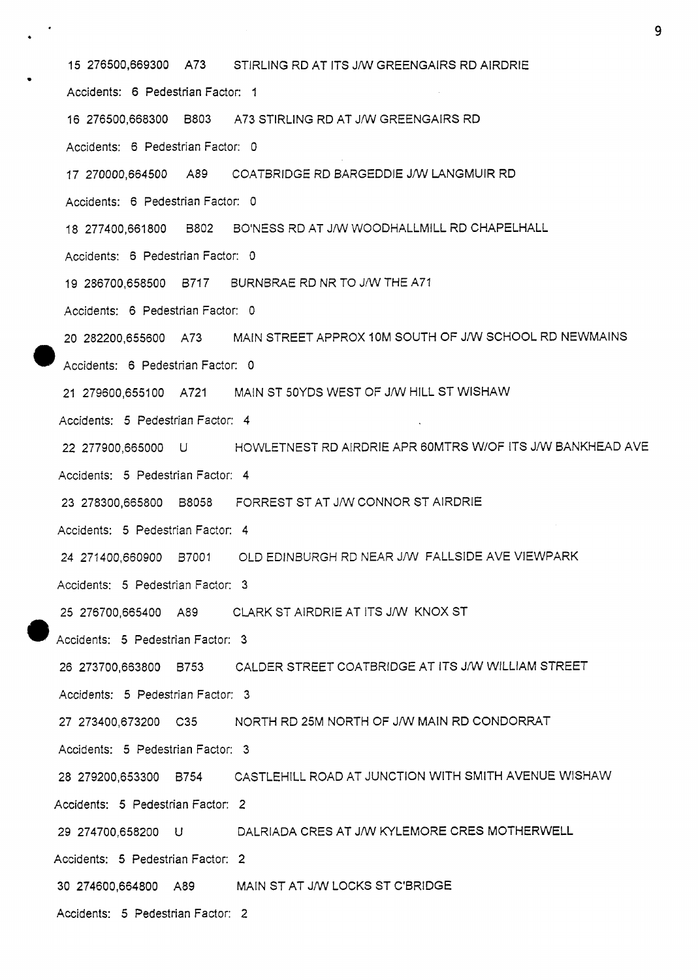15 276500,669300 A73 STIRLING RD AT ITS JMI GREENGAIRS RD AlRDRlE Accidents: 6 Pedestrian Factor: 1 16 276500,668300 8803 A73 STIRLING RD AT JMI GREENGAIRS RD Accidents: 6 Pedestrian Factor: 0 17 270000,664500 A89 COATBRIDGE RD BARGEDDIE J/W LANGMUIR RD Accidents: 6 Pedestrian Factor: 0 18 277400,661 800 B802 BO'NESS RD AT J/W WOODHALLMILL RD CHAPELHALL Accidents: 6 Pedestrian Factor: 0 19 286700,658500 B717 BURNBRAE RD NR TO JNV THE A71 Accidents: 6 Pedestrian Factor: 0 20 282200.655600 A73 MAIN STREET APPROX 10M SOUTH OF J/W SCHOOL RD NEWMAINS Accidents: 6 Pedestrian Factor: 0 21 279600,655100 A721 MAIN ST 50YDS WEST OF J/W HILL ST WISHAW Accidents: *5* Pedestrian Factor: 4 22 277900,665000 U HOWLETNEST RD AlRDRlE APR 6OMTRS W/OF ITS JNV BANKHEAD AVE Accidents: 5 Pedestrian Factor: 4 23 278300,665800 B8058 FORREST ST AT JAN CONNOR ST AlRDRlE Accidents: 5 Pedestrian Factor: 4 24 271400,660900 87001 OLD EDINBURGH RD NEAR J/W FALLSIDE AVE VIEWPARK Accidents: 5 Pedestrian Factor: 3 25 276700,665400 A89 CLARK ST AlRDRlE AT ITS J/W KNOX ST 4ccidents: 5 Pedestrian Factor: 3 26 273700,663800 8753 CALDER STREET COATBRIDGE AT ITS JNV WlLLlAM STREET Accidents: *5* Pedestrian Factor: 3 27 273400,673200 C35 NORTH RD 25M NORTH OF J/W MAIN RD CONDORRAT Accidents: 5 Pedestrian Factor: 3 28 279200,653300 B754 CASTLEHILL ROAD AT JUNCTION WITH SMITH AVENUE WISHAW Accidents: 5 Pedestrian Factor: *2*  29 274700,658200 U DALRIADA CRES AT J/W KYLEMORE CRES MOTHERWELL Accidents: 5 Pedestrian Factor: 2 30 274600.664800 A89 MAIN ST AT J/W LOCKS ST C'BRIDGE Accidents: *5* Pedestrian Factor: 2

. **<sup>9</sup>**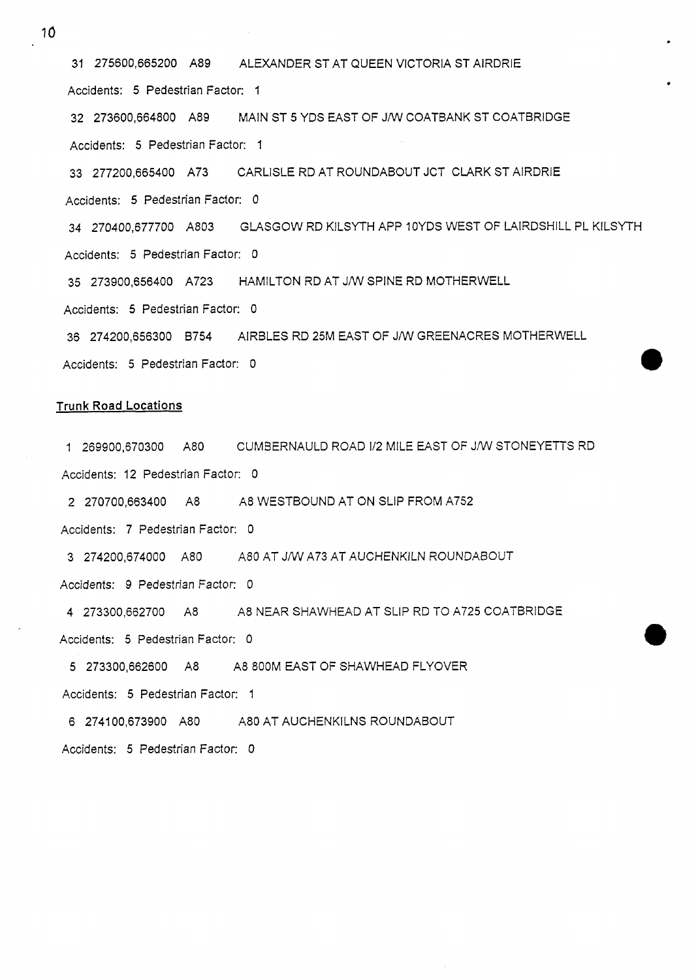31 275600,665200 A89 ALEXANDER ST AT QUEEN VICTORIA ST AlRDRlE Accidents: 5 Pedestrian Factor: 1 32 273600,664800 A89 MAIN ST 5 YDS EAST OF J/W COATBANK ST COATBRIDGE Accidents: 5 Pedestrian Factor: 1 33 277200,665400 A73 CARLISLE RD AT ROUNDABOUT JCT CLARK ST AlRDRlE Accidents: 5 Pedestrian Factor: 0 34 270400,677700 A803 GLASGOW RD KILSYTH APP 10YDS WEST OF LAIRDSHILL PL KILSYTH Accidents: 5 Pedestrian Factor: 0 35 273900,656400 A723 HAMILTON RD AT JIW SPINE RD MOTHERWELL Accidents: 5 Pedestrian Factor: 0 36 274200,656300 6754 AIRBLES RD 25M EAST OF J/W GREENACRES MOTHERWELL Accidents: 5 Pedestrian Factor: 0

#### **Trunk Road Locations**

1 269900,670300 A80 CUMBERNAULD ROAD 1/2 MILE EAST OF J/W STONEYETTS RD

Accidents: 12 Pedestrian Factor: 0

2 270700,663400 A8 A8 WESTBOUND AT ON SLIP FROM A752

Accidents: 7 Pedestrian Factor: 0

3 274200,674000 A80 A80 **AT** JNV A73 AT AUCHENKILN ROUNDABOUT

Accidents: *9* Pedestrian Factor: 0

4 273300,662700 **A8** A8 NEAR SHAWHEAD AT SLIP RD TO A725 COATBRIDGE Accidents: 5 Pedestrian Factor: 0

5 273300,662600 A8 A8 800M EAST OF SHAWHEAD FLYOVER

Accidents: 5 Pedestrian Factor: 1

6 274100,673900 A80 A80 AT AUCHENKILNS ROUNDABOUT

Accidents: 5 Pedestrian Factor: 0

10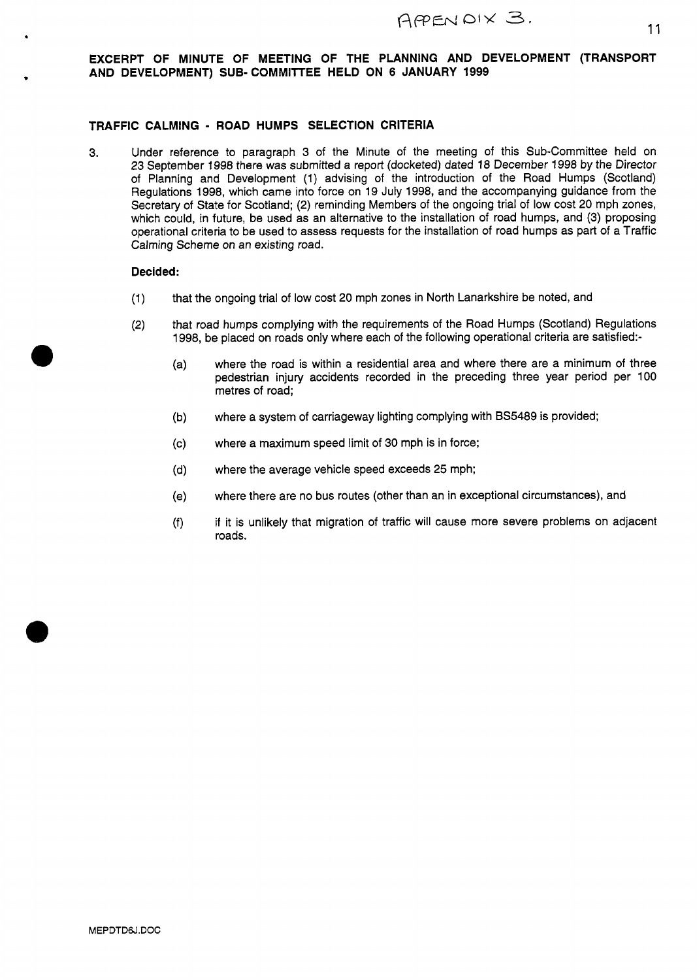#### **EXCERPT OF MINUTE OF MEETING OF THE PLANNING AND DEVELOPMENT (TRANSPORT AND DEVELOPMENT) SUB-COMMIITEE HELD ON 6 JANUARY 1999**

#### **TRAFFIC CALMING** - **ROAD HUMPS SELECTION CRITERIA**

**3.** Under reference to paragraph 3 of the Minute of the meeting of this Sub-Committee held on 23 September **1998** there was submitted a report (docketed) dated **18** December **1998** by the Director of Planning and Development (1) advising of the introduction of the Road Humps (Scotland) Regulations **1998,** which came into force on **19** July **1998,** and the accompanying guidance from the Secretary of State for Scotland; (2) reminding Members **of** the ongoing trial of low cost 20 mph zones, which could, in future, be used as an alternative to the installation of road humps, and (3) proposing operational criteria to be used to assess requests for the installation of road humps as part of a Traffic Calming Scheme on an existing road.

#### **Decided:**

\*

- **(1)**  that the ongoing trial of low cost 20 mph zones in North Lanarkshire be noted, and
- **(2)**  that road humps complying with the requirements of the Road Humps (Scotland) Regulations **1998,** be placed on roads only where each of the following operational criteria are satisfied:
	- where the road is within a residential area and where there are a minimum of three  $(a)$ pedestrian injury accidents recorded in the preceding three year period per 100 metres of road;
	- where a system of carriageway lighting complying with **BS5489** is provided;  $(b)$
	- where a maximum speed limit of 30 mph is in force;  $(c)$
	- where the average vehicle speed exceeds 25 mph;  $(d)$
	- where there are no bus routes (other than an in exceptional circumstances), and  $(e)$
	- if it is unlikely that migration of traffic will cause more severe problems on adjacent  $(f)$ roads.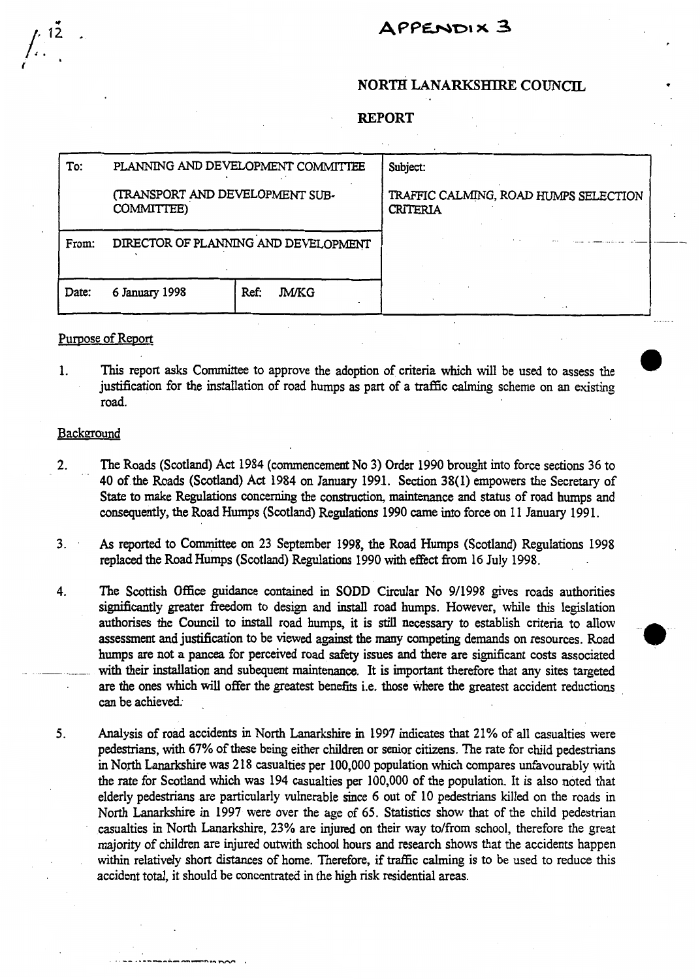## APPENDIX 3

## **NORTH LANARKSHIRE COUNCIL**

**e** 

#### **REPORT**

|       | VET OV T                                      |                      |                                                          |  |
|-------|-----------------------------------------------|----------------------|----------------------------------------------------------|--|
|       |                                               |                      |                                                          |  |
| To:   | PLANNING AND DEVELOPMENT COMMITTEE            |                      | Subject:                                                 |  |
|       | (TRANSPORT AND DEVELOPMENT SUB-<br>COMMITTEE) |                      | TRAFFIC CALMING, ROAD HUMPS SELECTION<br><b>CRITERIA</b> |  |
| From: | DIRECTOR OF PLANNING AND DEVELOPMENT          |                      |                                                          |  |
| Date: | 6 January 1998                                | Ref:<br><b>JM/KG</b> | $\cdot$ $\cdot$                                          |  |

#### Purpose of Report

1. This report asks Committee to approve the adoption of criteria which will be used to assess the justification for the installation of road humps **as** part of a traffic calming scheme on an existing road.

#### Backeround

- **2.** The Roads (Scotland) **Act** 1984 (commencement No 3) Order 1990 brought into force sections 36 to 40 of the Roads (Scotland) **Act** 1984 on January 1991. **Section 38(1)** empowers the Secretary of **State** to make Regulations concerning the **construction,** maintenance and **status** of road humps and consequently, the Road Humps (Scotland) Regulations 1990 came into force on 11 January 1991.
- **As** reported to Committee **on** 23 September **1998,** the Road Humps (Scotland) Regulations 1998 replaced the Road Humps (Scotland) Regulations 1990 with effect from 16 July 1998. **3.**
- 4. The **Scottish Office** guidance contained in **SODD** Circular No 9/1998 gives roads authorities significantly greater freedom to design and install road humps. However, while this legislation authorises the Council to install road humps, it is *still* necessary to establish criteria to allow assessment and justification to be viewed against the many competing demands on resources. Road humps are not **a** pancea for perceived road *safety* issues and there are significant costs associated with their installation and subequent maintenance. It is important therefore that any sites targeted are the ones which will offer the greatest benefits i.e. those where the greatest accident reductions can be achieved.  $\overline{\phantom{a}}$ .
	- *5.* Analysis of road accidents in **North** Lanarkshire in 1997 indicates that 21% of **all** casualties were pedestrians, with 67% of these being either children or senior citizens. The rate for child pedestrians in North Lanarkshire was 218 casualties per 100,000 population which compares unfavourably with the rate for Scotland which was 194 casualties per **100,000** of the population. It is also noted that elderly pedestrians are particularly vulnerable since 6 out of **10** pedestrians killed on the roads in **North** Lanarkshire in 1997 were over the age of *65.* Statistics show that of the child pedestrian casualties in **North** Lanarkshire, 23% are injured on their way to/from school, therefore the great majority of children are injured outwith school hours and research shows that the accidents happen within relatively short distances of home. Therefore, if traffic calming is to be used to reduce this accident total, it should be concentrated in the **high** risk residential areas.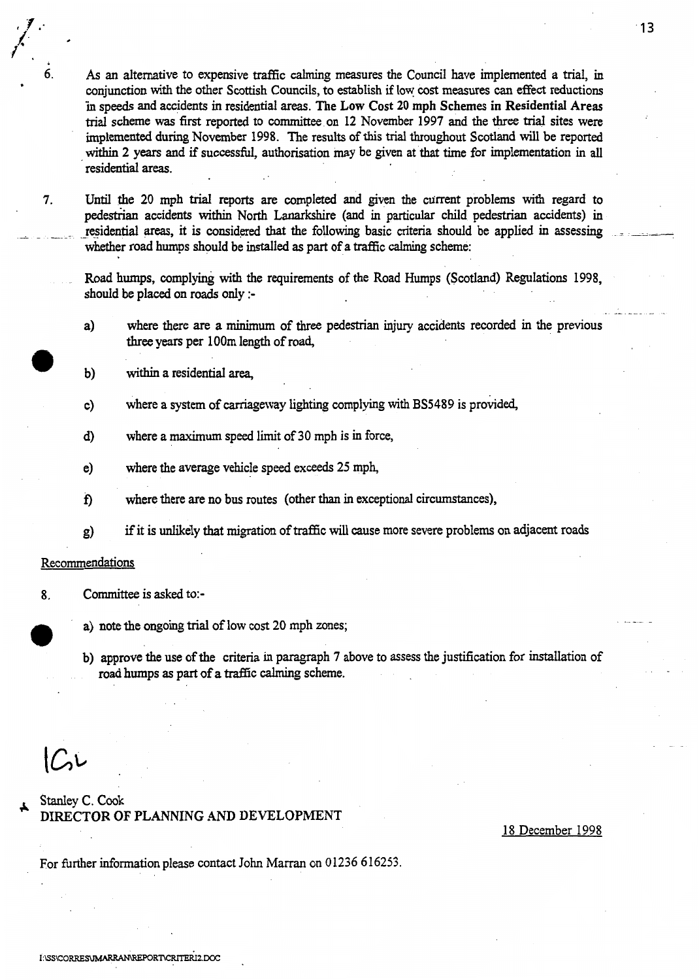8. **AS** an alternative to expensive traffic calming measures the Council have implemented a trial, in conjunction with the other Scottish Councils, to establish if low *cost* measures can effect reductions 'in speeds and accidents in residential areas. **The Low Cost 20 mph Schemes in Residential Areas trial** scheme was **first** reported to committee **on 12** November **1997** and the **three trial** sites were implemented during November **1998.** The results of **this trial** throughout Scotland will be reported within 2 years and if successful, authorisation may be given at that time for implementation in all residential areas.

**7. Until** the 20 mph **trial** reports are completed and given the current problems with regard to pedestrian accidents within North Lanarkshire (and in particular child pedestrian accidents) in pedestrian accidents within North Lanarkshire (and in particular child pedestrian accidents) in<br>residential areas, it is considered that the following basic criteria should be applied in assessing  $\frac{1}{\sqrt{2}}$ whether road humps should be installed **as** part of **a** traffic calming scheme:

Road humps, complying with the requirements of the Road **Humps** (Scotland) Regulations **1998,**  should **be** placed **on** roads only :-

- **a)** where there are **a** minimum of three pedestrian **injury** accidents recorded in the previous three years per lOOm length of road,
- b) within a residential area,
- c) where a **system** of carriageway lighting complying with **BS5489** is provided,
- **d)**  where a maximum speed limit of 30 mph **is** in force,
- e) where the average vehicle speed exceeds **25** mph,
- f) where there are **no** bus routes (other than in exceptional circumstances),
- **g)**  if it is unlikely that migration of traffic will cause more severe problems on adjacent roads

#### Recommendations

.' **I** ,. *l 1.* 

- **8.** Committee is asked to:
	- a) note the ongoing trial of low cost 20 mph zones;
	- b) approve the use of the criteria in paragraph **7** above to assess the justification for installation of road humps **as** part of **a** traffic calming scheme.

 $C$ 

#### **Stanley** C. Cook **DIRECTOR** OF **PLANNING AND DEVELOPMENT**

18 December 1998

For firther information please contact John Marran on 01236 616253.

. <u>.</u><br>. . . . . . . . . .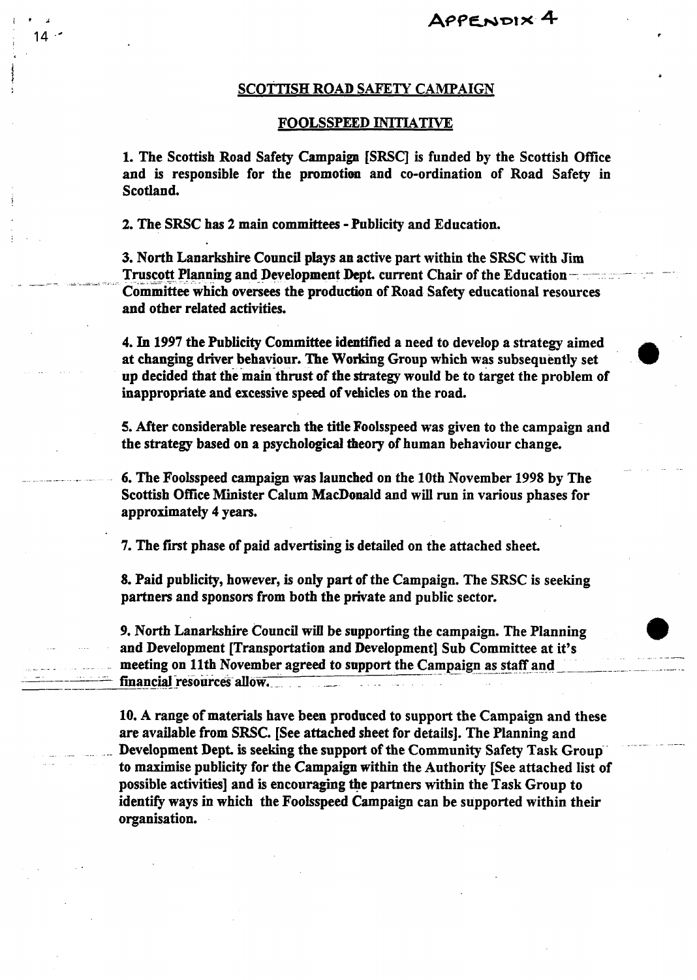.<br>منابذ با عمد

\_\_ - -\_

#### SCOTTISH **ROAD SAFETY** CAMPAIGN

#### FOOLSSPEED INITIATIVE

1. The Scottish Road Safety Campaign [SFSC] is funded by the Scottish Office and **is** responsible for the promotion and co-ordination of Road Safety in Scotland.

**2.** The SRSC has **2** main committees - Publicity and Education.

i9A  $14.$ 

 $\overline{a}$ 

-.

- \_-

3. North Lanarkshire Council plays an active part within the SRSC with Jim Truscott Planning and Development Dept. current Chair of the Education-Committee which oversees the production of Road Safety educational resources and other related activities.

4. In 1997 the Publicity Committee identified a need to develop a strategy aimed<br>at changing driver behaviour. The Working Group which was subsequently set up decided that the main thrust of the strategy would be to target the problem of inappropriate and excessive speed of vehicles on the road.

**5.** After considerable research the title Fooisspeed was given to the campaign and the strategy based on a psychological theory of human behaviour change.

\_\_\_ . - **6.** The Foolsspeed campaign **was** launched on the 10th November 1998 by The Scottish Office Minister Calum MacDonald and will run in various phases for approximately **4** years.

**7.** The first phase of paid advertising **is** detailed on the attached sheet.

*8.* Paid publicity, however, **is only** part of the Campaign. The SRSC is seeking partners and sponsors from both the private and public sector.

*9.* North Lanarkshire Council will be supporting the campaign. The Planning **9**  and Development [Transportation and Development] Sub Committee at it's meeting on 11th November agreed to support the Campaign as staff and financial resources allow.

10. A range of materials have been produced **to** support the Campaign and these are available from **SRSC.** [See attached sheet for details]. The Planning and Development Dept. is seeking the support of the Community Safety Task Group to maximise publicity for the Campaign within the Authority [See attached list of possible activities] and is encouraging the partners within the Task Group to identify ways in which the Fooisspeed Campaign can be supported within their organisation.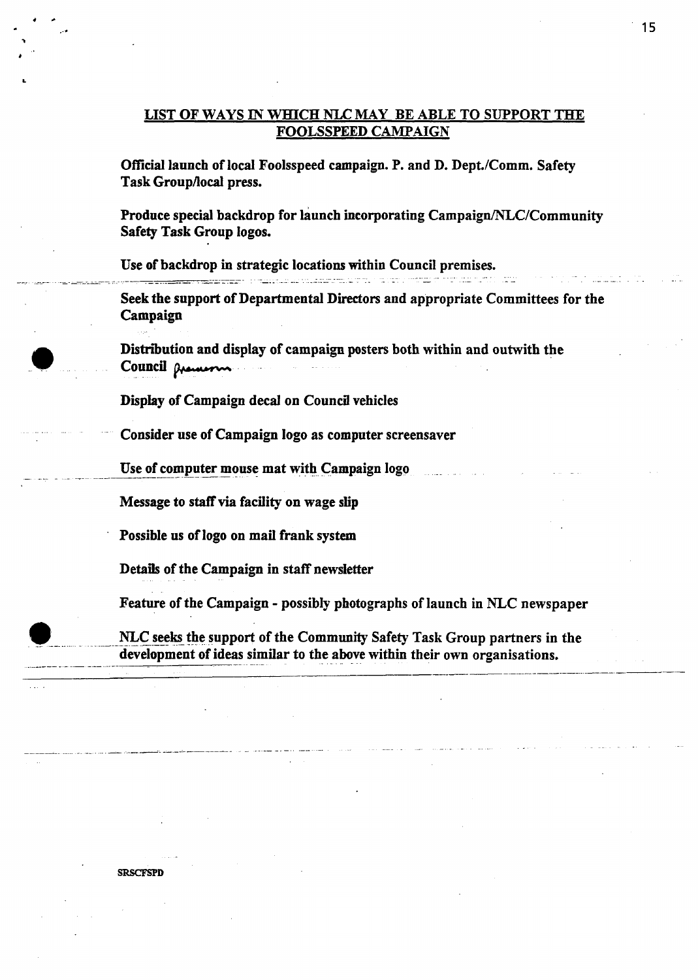## LIST OF WAYS IN WHICH NLC MAY BE ABLE TO SUPPORT THE FOOLSSPEED CAMPAIGN

Official launch of local Foolsspeed campaign. P. and **D.** Dept./Comm. Safety Task Grouphocal press.

Produce special backdrop for launch incorporating Campaign/NLC/Community Safety Task Group logos.

Use of backdrop in strategic locations within Council premises.

Seek the support of Departmental Directors and appropriate Committees for the Campaign

Distribution and display of campaign posters both within and outwith the Council **Queen** 

Display of Campaign decal on Council vehicles

Consider use of Campaign logo as computer screensaver

Use of computer mouse mat with Campaign logo

Message to **staff** via facility on wage **slip** 

Possible us of logo on mail frank system

Details of the Campaign in staff newsletter

Feature of the Campaign - possibly photographs of launch in **NLC** newspaper

**NET USE OF COMPUTE THEORY IS A SURVEYOR MESSAGE TO SAFE ASSAGE TO SURVEY THEORY OF SURVEYOR DETAILS OF the Campaign in staff newsletter<br>
<b>NET SERVIET SERVIET SURVEY SURVEY ASSAGE TO SURVEY ASSAGE THAT A SURVEY SAFETY TASK** NLC seeks the support of the Community Safety Task Group partners in the development of ideas similar to the above within their own organisations.

- . . . -. . . . . . -\_ -- -. --.

**SRSCFSPD** 

\*\* .-•

-a *b*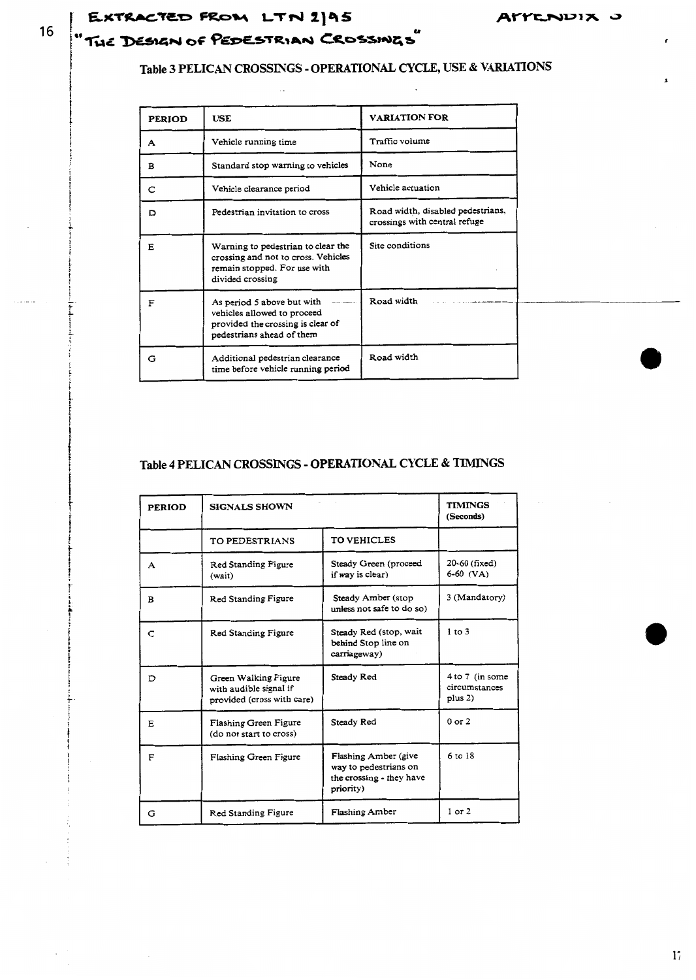# EXTRACTED FROM LTN 2195 "THE DESIGN OF PEDESTRIAN CROSSINGS"

## Table 3 PELICAN CROSSINGS - OPERATIONAL CYCLE, USE & VARIATIONS

| <b>PERIOD</b> | <b>USE</b>                                                                                                                    | <b>VARIATION FOR</b>                                               |
|---------------|-------------------------------------------------------------------------------------------------------------------------------|--------------------------------------------------------------------|
| A             | Vehicle running time                                                                                                          | Traffic volume                                                     |
| в             | Standard stop warning to vehicles                                                                                             | None                                                               |
| C             | Vehicle clearance period                                                                                                      | Vehicle actuation                                                  |
| מ             | Pedestrian invitation to cross                                                                                                | Road width, disabled pedestrians,<br>crossings with central refuge |
| F.            | Warning to pedestrian to clear the<br>crossing and not to cross. Vehicles<br>remain stopped. For use with<br>divided crossing | Site conditions                                                    |
| F             | As period 5 above but with<br>vehicles allowed to proceed<br>provided the crossing is clear of<br>pedestrians ahead of them   | Road width                                                         |
| G             | Additional pedestrian clearance<br>time before vehicle running period                                                         | Road width                                                         |

## **Table 4 PELICAN CROSSINGS** - **OPERATIONAL CYCLE** & **TIMINGS**

| <b>PERIOD</b> | <b>SIGNALS SHOWN</b>                                                         |                                                                                        | <b>TIMINGS</b><br>(Seconds)                   |
|---------------|------------------------------------------------------------------------------|----------------------------------------------------------------------------------------|-----------------------------------------------|
|               | TO PEDESTRIANS                                                               | <b>TO VEHICLES</b>                                                                     |                                               |
| A             | Red Standing Figure<br>(wait)                                                | Steady Green (proceed<br>if way is clear)                                              | 20-60 (fixed)<br>$6-60$ (VA)                  |
| B             | Red Standing Figure                                                          | Steady Amber (stop<br>unless not safe to do so)                                        | 3 (Mandatory)                                 |
| C             | Red Standing Figure                                                          | Steady Red (stop, wait<br>behind Stop line on<br>carriageway)                          | $1$ to $3$                                    |
| D             | Green Walking Figure<br>with audible signal if<br>provided (cross with care) | Steady Red                                                                             | 4 to 7 (in some<br>circumstances<br>plus $2)$ |
| E             | Flashing Green Figure<br>(do not start to cross)                             | Steady Red                                                                             | $0$ or $2$                                    |
| F             | Flashing Green Figure                                                        | Flashing Amber (give<br>way to pedestrians on<br>the crossing - they have<br>priority) | 6 to 18                                       |
| G             | Red Standing Figure                                                          | Flashing Amber                                                                         | $1$ or $2$                                    |

16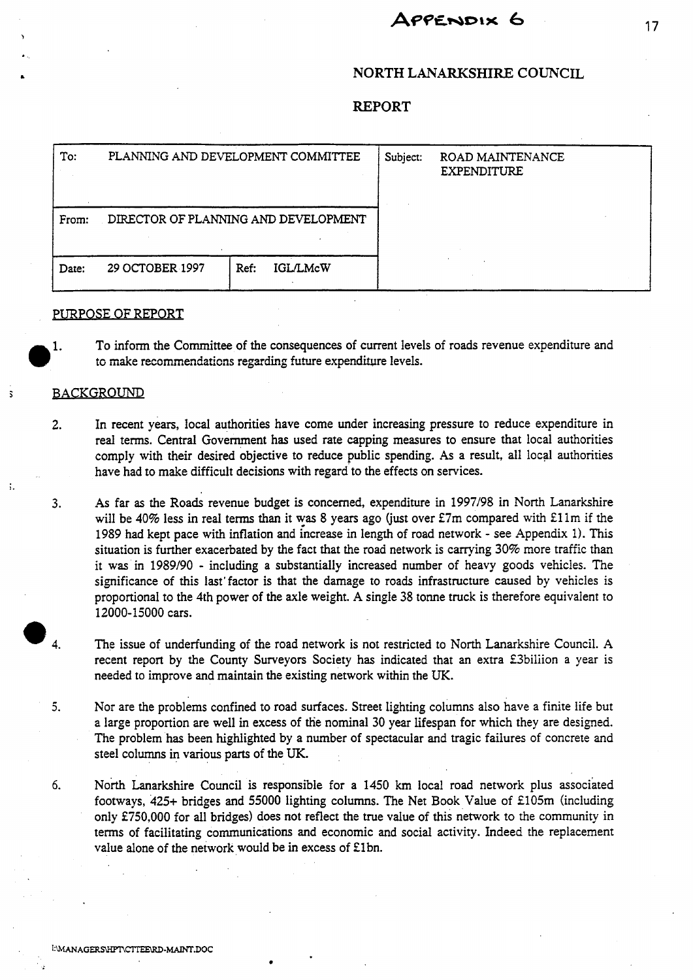# APPENDIX 6

## **NORTH LANARKSHIRE COUNCIL**

#### **REPORT**

| To:   | PLANNING AND DEVELOPMENT COMMITTEE   |                         | Subject: | ROAD MAINTENANCE<br>EXPENDITURE |
|-------|--------------------------------------|-------------------------|----------|---------------------------------|
| From: | DIRECTOR OF PLANNING AND DEVELOPMENT |                         |          |                                 |
| Date: | 29 OCTOBER 1997                      | <b>IGL/LMcW</b><br>Ref: |          |                                 |

#### PURPOSE OF REPORT

1. To inform the Committee of the consequences of current levels of roads revenue expenditure and to make recommendations regarding future expenditure levels.

#### **BACKGROUND**

- **2. In** recent years, local authorities have come under increasing pressure to reduce expenditure in real terms. Central Government has used rate capping measures to ensure that local authorities comply with their desired objective to reduce public spending. **As** a result, all local authorities have had to make difficult decisions with regard to the effects **on** services.
- **3. As** far **as** the Roads revenue budget **is** concerned, expenditure in 1997198 in North Lanarkshire will be 40% less in real terms than it was 8 years ago (just over  $£7m$  compared with  $£11m$  if the 1989 had kept pace with inflation and increase in length of road network - see Appendix 1). This situation is further exacerbated by the fact that the road network is carrying 30% more traffic than it was in 1989/90 - including a substantially increased number of heavy goods vehicles. The significance of this last'factor **is** that the damage to roads infrastructure caused by vehicles is proportional to the 4th power of the axle weight. **A** single **38** tonne truck is therefore equivalent to 12000-15000 cars.  $\bullet$  4.
	- The issue of underfunding of the road network is not restricted to North Lanarkshire Council. **A**  recent report by the County Surveyors Society has indicated that an extra £3biliion a year is needed to improve and maintain the existing network within the UK.
	- **5.** Nor are the problems confined to road surfaces. Street lighting columns also have a finite life but **a** large proportion are well in excess of the nominal 30 year lifespan for which they are designed. The problem **has** been highlighted by a number of spectacular and tragic failures of concrete and steel columns in various parts of the UK.
	- North Lanarkshire Council is responsible for a 1450 **km** local road network plus associated footways, 425+ bridges and 55000 lighting columns. The Net Book Value of £105m (including only €750,000 for all bridges) does not reflect the true value of this network to the community in terms of facilitating communications and economic and social activity. Indeed the replacement value alone of the network would be in excess of £1bn. *6.*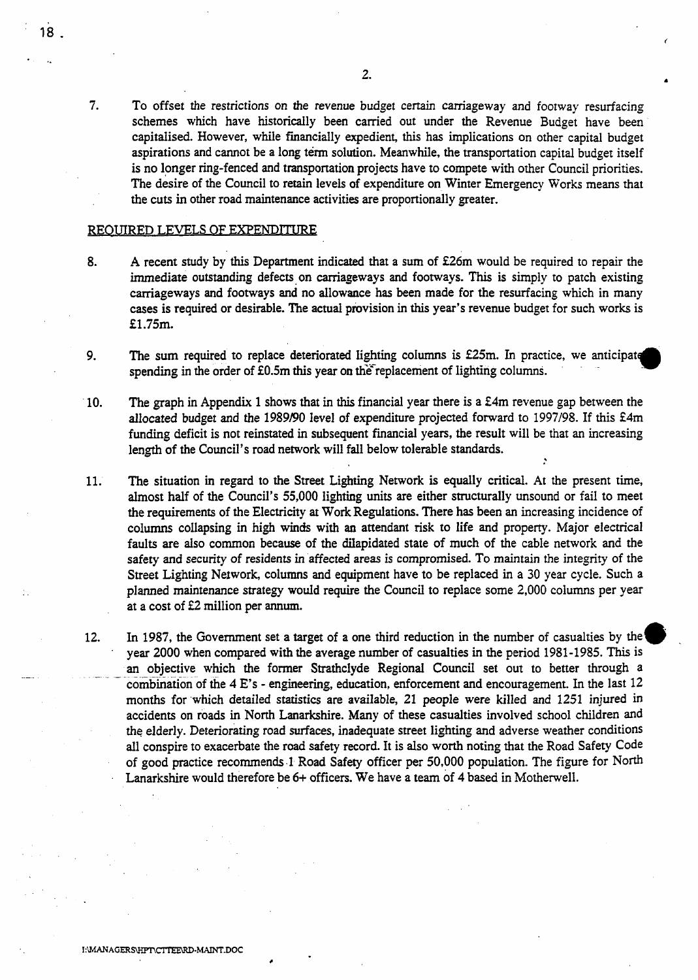-

7. To offset the restrictions on the revenue budget certain carriageway and footway resurfacing schemes which have historically been carried out under the Revenue Budget have been capitalised. However, while financially expedient, **this** has implications **on** other capital budget aspirations and cannot be a long term solution. Meanwhile, the transportation capital budget itself is no longer ring-fenced and transportation projects have to compete with other Council priorities. The desire of the Council to retain levels of expenditure **on** Winter Emergency Works means that the cuts in other road maintenance activities are proportionally greater.

#### **REOUIRED LEVELS OF EXPENDITURE**

- **8. A** recent study by this Department indicated that a sum of f26m would be required to repair the immediate outstanding defects on carriageways and footways. This is simply to patch existing carriageways and footways and no allowance has been made for the resurfacing which in many cases is required or desirable. The actual provision in **this** year's revenue budget for such works is £1.75m.
- 9. The sum required to replace deteriorated lighting coiumns **is**  f25m. spending in the order of £0.5m this year on the replacement of lighting columns. In practice, we anticipate olumns.
- 10. The graph in Appendix 1 shows that in this financial year there is a f4m revenue gap between the allocated budget and the 1989/90 level of expenditure projected forward to **1997/98.** If this f4m funding deficit is not reinstated in subsequent financial years, the result will be that an increasing length of the Council's road network will fall below tolerable standards.
- The situation in regard to the Street Lighting Network is equally critical. At the present time, almost half of the Council's 55,000 lighting units are either structurally unsound or fail to meet the requirements of the Electricity **at** Work Regulations. There has been an increasing incidence of columns coilapsing in high winds with an attendant risk to life and property. Major electrical faults are **also** common because of the dilapidated state of much of the cable network and the safety and security of residents in affected areas is compromised. To maintain the integrity of the Street Lighting Network, columns and equipment have to be replaced in **a** 30 year cycle. Such a planned maintenance strategy would require the Council to replace some 2,000 columns per year at a cost of €2 million per **annum. 11.**
- In 1987, the Government set a target of a one third reduction in the number of casualties by the<sup>4</sup> year 2000 when compared with the average number of casualties **in** the period 1981-1985. This is an objective which the former Strathclyde Regional Council set out to better through a combination of the **4** E's - engineering, education, enforcement and encouragement. In the last 12 months for which detailed statistics are available, **21** people were killed and **1251** injured in accidents **on** roads in **North** Lanarkshire. Many of these casualties involved school children and the elderly. Deteriorating road surfaces, inadequate street lighting **and** adverse weather conditions all conspire to exacerbate the road safety record. It is also worth noting that the Road Safety Code of good practice recommends 1 Road Safety officer per 50,000 population. The figure for North Lanarkshire would therefore be **6+** officers. We have a team of **4** based in Motherwell. 12.

**c**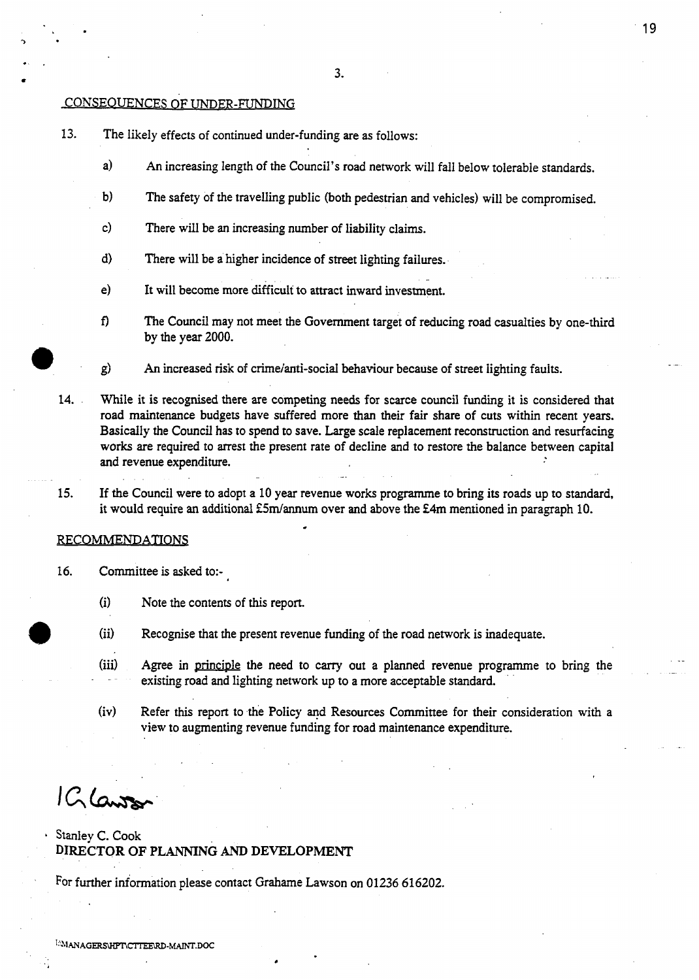$\bullet$  3.  $\bullet$  8.  $\bullet$  8.  $\bullet$  8.  $\bullet$  8.  $\bullet$  8.  $\bullet$  8.  $\bullet$  8.  $\bullet$  8.  $\bullet$  8.  $\bullet$  8.  $\bullet$  8.  $\bullet$  8.  $\bullet$  8.  $\bullet$  8.  $\bullet$  8.  $\bullet$  8.  $\bullet$  8.  $\bullet$  8.  $\bullet$  8.  $\bullet$  8.  $\bullet$  8.  $\bullet$  8.  $\bullet$  8.  $\bullet$  8.  $\bullet$  8.  $\bullet$  8.  $\bullet$ 

#### **CONSEQUENCES OF UNDER-FUNDING**

.. .

- 13. The likely effects of continued under-funding are as follows:
	- a) An increasing length of the Council's road network will fall below tolerable standards.
	- b) The safety of the travelling public (both pedestrian and vehicles) will be compromised.
	- c) There will be an increasing number of liability claims.
	- d) There will be a higher incidence **of** street lighting failures.
	- e) It will become more difficult to attract inward investment.
	- **f)** The Council may not meet the Government target of reducing road casualties by one-third by the year 2000.
	- *0* g) *h* increased **risk** of crimeianti-social behaviour because of street iighting fauits.
- **14.** While it is recognised there are competing needs for scarce council **funding** it is considered that road maintenance budgets have suffered more than their fair share of cuts within recent years. Basicaily the Council has to spend to save. Large scale replacement reconstruction and resurfacing works *are* required to arrest the present rate of decline and to restore the balance between capital and revenue expenditure.
- If the Council were to adopt a 10 year revenue works programme to bring **its** roads up to standard, it would require an additional £5m/annum over and above the £4m mentioned in paragraph 10. 15.

#### RECOMMEND **ATIONS**

- 16. Committee **is** asked to:-
	- **(i)**  Note the contents of **this** report.
	- (ii) (ii) Recognise that the present revenue funding of the road network is inadequate.<br>
	(iii) Agree in principle the need to carry out a planned revenue programme to
	- Agree in principle the need to carry out a planned revenue programme to bring the existing road and lighting network up to a more acceptable standard.
	- (iv) Refer this report to the Policy and Resources Committee for their consideration with a view to augmenting revenue funding for road maintenance expenditure.

1 G Lawre

### Stanley C. Cook **DIRECTOR OF PLANNING** *AND* **DEVELOPMENT**

For further information please contact Grahame Lawson on 01236 616202.

*c* 

WANAGERSHPT\CTTEE\RD-MAINT.DOC

19